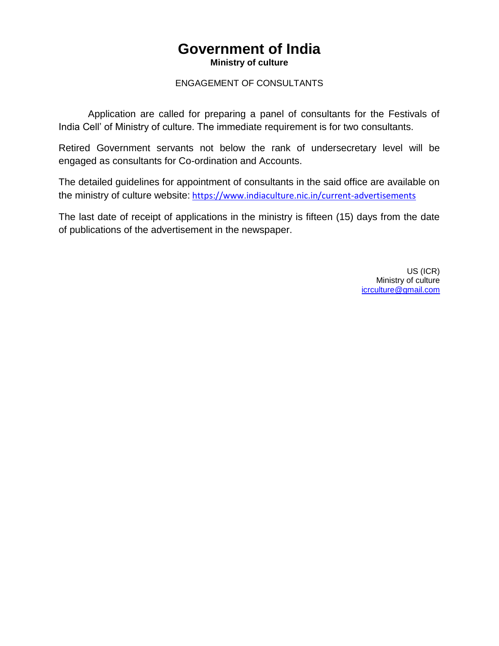## **Government of India Ministry of culture**

## ENGAGEMENT OF CONSULTANTS

Application are called for preparing a panel of consultants for the Festivals of India Cell' of Ministry of culture. The immediate requirement is for two consultants.

Retired Government servants not below the rank of undersecretary level will be engaged as consultants for Co-ordination and Accounts.

The detailed guidelines for appointment of consultants in the said office are available on the ministry of culture website: <https://www.indiaculture.nic.in/current-advertisements>

The last date of receipt of applications in the ministry is fifteen (15) days from the date of publications of the advertisement in the newspaper.

> US (ICR) Ministry of culture [icrculture@gmail.com](mailto:icrculture@gmail.com)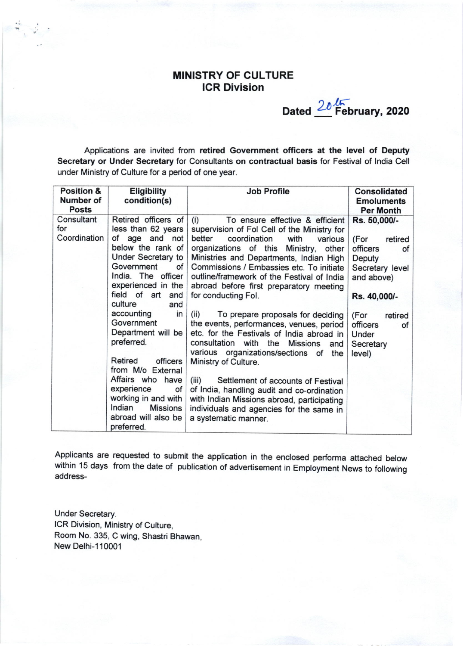## MINISTRY OF CULTURE ICR Division

Dated  $\frac{20 \sqrt{5}}{20}$  February, 2020 Feb

Applications are invited from retired Government officers at the level of Oeputy Secretary or Under Secretary for Consultants on contractual basis for Festival of lndia Cell under Ministry of Culture for a period of one year.

| <b>Position &amp;</b><br>Number of<br><b>Posts</b> | <b>Eligibility</b><br>condition(s)                                                                                                                                                                                                                                                                                                                                                                                                                                 | <b>Job Profile</b>                                                                                                                                                                                                                                                                                                                                                                                                                                                                                                                                                                                                                                                                                                                                                                                                                                      | <b>Consolidated</b><br><b>Emoluments</b><br><b>Per Month</b>                                                                                                                      |
|----------------------------------------------------|--------------------------------------------------------------------------------------------------------------------------------------------------------------------------------------------------------------------------------------------------------------------------------------------------------------------------------------------------------------------------------------------------------------------------------------------------------------------|---------------------------------------------------------------------------------------------------------------------------------------------------------------------------------------------------------------------------------------------------------------------------------------------------------------------------------------------------------------------------------------------------------------------------------------------------------------------------------------------------------------------------------------------------------------------------------------------------------------------------------------------------------------------------------------------------------------------------------------------------------------------------------------------------------------------------------------------------------|-----------------------------------------------------------------------------------------------------------------------------------------------------------------------------------|
| Consultant<br>for<br>Coordination                  | Retired officers of<br>less than 62 years<br>of age and not<br>below the rank of<br>Under Secretary to<br>Government<br>of<br>India. The officer<br>experienced in the<br>field of art<br>and<br>culture<br>and<br>accounting<br>in<br>Government<br>Department will be<br>preferred.<br>Retired<br>officers<br>from M/o External<br>Affairs who have<br>experience<br>of<br>working in and with<br>Indian<br><b>Missions</b><br>abroad will also be<br>preferred. | (i)<br>To ensure effective & efficient<br>supervision of Fol Cell of the Ministry for<br>better<br>coordination<br>with<br>various<br>organizations of this Ministry,<br>other<br>Ministries and Departments, Indian High<br>Commissions / Embassies etc. To initiate<br>outline/framework of the Festival of India<br>abroad before first preparatory meeting<br>for conducting Fol.<br>(ii)<br>To prepare proposals for deciding<br>the events, performances, venues, period<br>etc. for the Festivals of India abroad in<br>consultation with the Missions<br>and<br>various organizations/sections of<br>the<br>Ministry of Culture.<br>(iii)<br>Settlement of accounts of Festival<br>of India, handling audit and co-ordination<br>with Indian Missions abroad, participating<br>individuals and agencies for the same in<br>a systematic manner. | Rs. 50,000/-<br>(For<br>retired<br>officers<br>of<br>Deputy<br>Secretary level<br>and above)<br>Rs. 40,000/-<br>(For<br>retired<br>officers<br>of<br>Under<br>Secretary<br>level) |

Applicants are requested to submit the application in the enclosed performa attached below within 15 days from the date of publication of advertisement in Employment News to following address-

Under Secretary. ICR Division, Ministry of Culture, Room No. 335, C wing, Shastri Bhawan, New Delhi-110001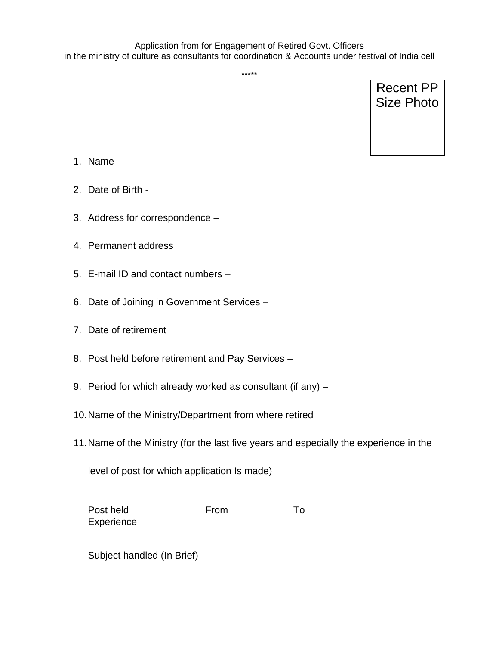\*\*\*\*\*

Recent PP Size Photo

- 1. Name  $-$
- 2. Date of Birth -
- 3. Address for correspondence –
- 4. Permanent address
- 5. E-mail ID and contact numbers –
- 6. Date of Joining in Government Services –
- 7. Date of retirement
- 8. Post held before retirement and Pay Services –
- 9. Period for which already worked as consultant (if any) –
- 10.Name of the Ministry/Department from where retired
- 11.Name of the Ministry (for the last five years and especially the experience in the

level of post for which application Is made)

| Post held  | From | To. |
|------------|------|-----|
| Experience |      |     |

Subject handled (In Brief)